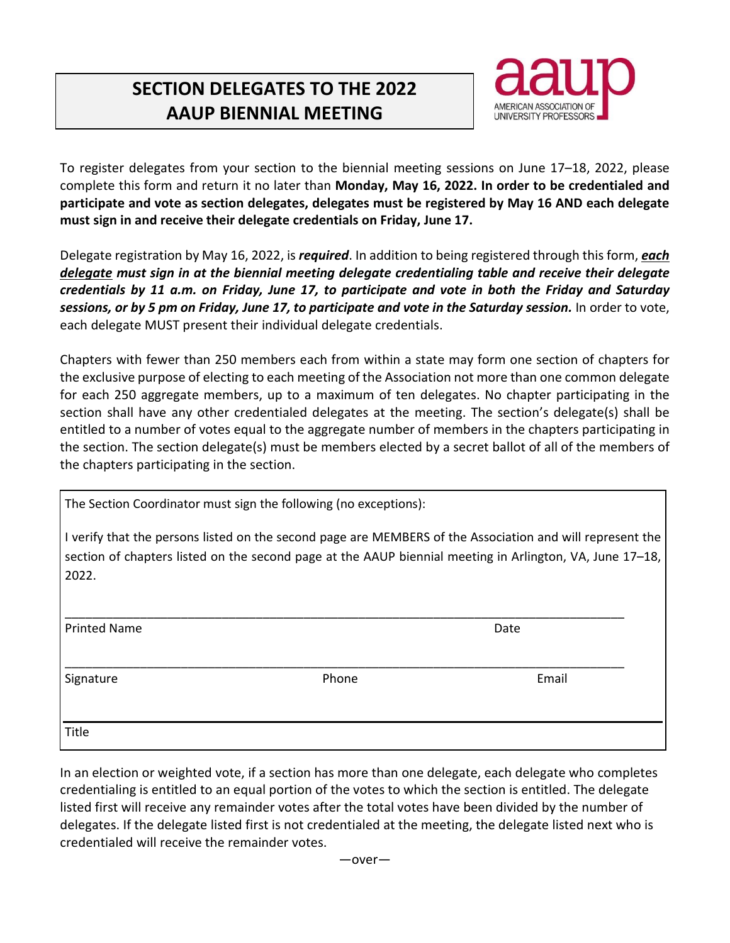## **SECTION DELEGATES TO THE 2022 AAUP BIENNIAL MEETING**



To register delegates from your section to the biennial meeting sessions on June 17–18, 2022, please complete this form and return it no later than **Monday, May 16, 2022. In order to be credentialed and participate and vote as section delegates, delegates must be registered by May 16 AND each delegate must sign in and receive their delegate credentials on Friday, June 17.**

Delegate registration by May 16, 2022, is *required*. In addition to being registered through this form, *each delegate must sign in at the biennial meeting delegate credentialing table and receive their delegate credentials by 11 a.m. on Friday, June 17, to participate and vote in both the Friday and Saturday* sessions, or by 5 pm on Friday, June 17, to participate and vote in the Saturday session. In order to vote, each delegate MUST present their individual delegate credentials.

Chapters with fewer than 250 members each from within a state may form one section of chapters for the exclusive purpose of electing to each meeting of the Association not more than one common delegate for each 250 aggregate members, up to a maximum of ten delegates. No chapter participating in the section shall have any other credentialed delegates at the meeting. The section's delegate(s) shall be entitled to a number of votes equal to the aggregate number of members in the chapters participating in the section. The section delegate(s) must be members elected by a secret ballot of all of the members of the chapters participating in the section.

The Section Coordinator must sign the following (no exceptions):

I verify that the persons listed on the second page are MEMBERS of the Association and will represent the section of chapters listed on the second page at the AAUP biennial meeting in Arlington, VA, June 17–18, 2022.

| <b>Printed Name</b> |       | Date  |  |
|---------------------|-------|-------|--|
| Signature           | Phone | Email |  |
| Title               |       |       |  |

In an election or weighted vote, if a section has more than one delegate, each delegate who completes credentialing is entitled to an equal portion of the votes to which the section is entitled. The delegate listed first will receive any remainder votes after the total votes have been divided by the number of delegates. If the delegate listed first is not credentialed at the meeting, the delegate listed next who is credentialed will receive the remainder votes.